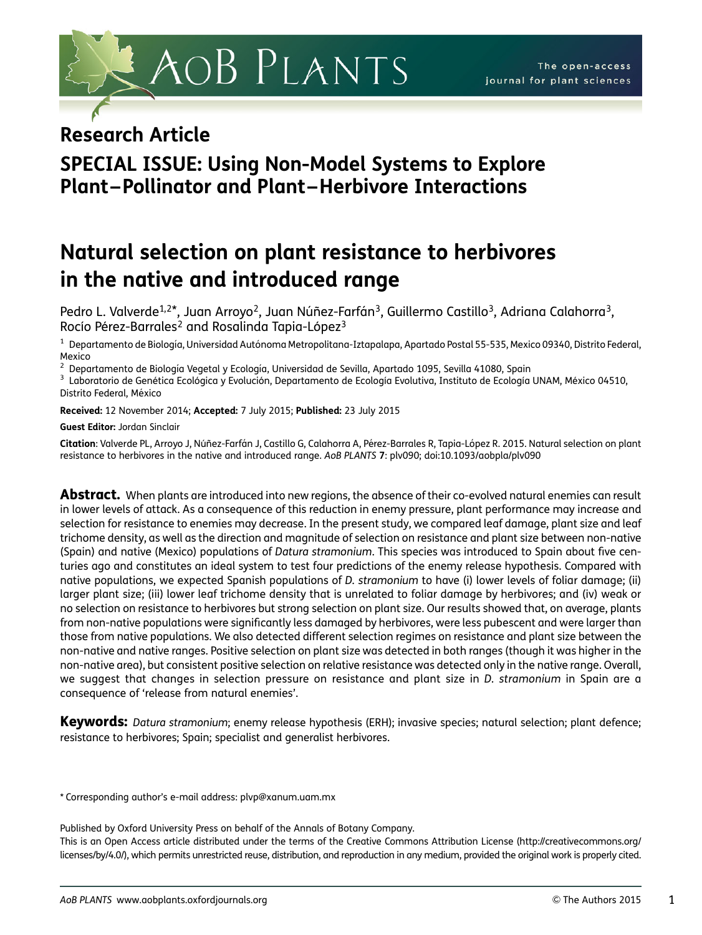

## Research Article

# SPECIAL ISSUE: Using Non-Model Systems to Explore Plant –Pollinator and Plant –Herbivore Interactions

# Natural selection on plant resistance to herbivores in the native and introduced range

Pedro L. Valverde<sup>1,2\*</sup>, Juan Arroyo<sup>2</sup>, Juan Núñez-Farfán<sup>3</sup>, Guillermo Castillo<sup>3</sup>, Adriana Calahorra<sup>3</sup>, Rocío Pérez-Barrales<sup>2</sup> and Rosalinda Tapia-López<sup>3</sup>

Departamento de Biología, Universidad Autónoma Metropolitana-Iztapalapa, Apartado Postal 55-535, Mexico 09340, Distrito Federal, Mexico<br><sup>2</sup> Depa

<sup>2</sup> Departamento de Biología Vegetal y Ecología, Universidad de Sevilla, Apartado 1095, Sevilla 41080, Spain<br><sup>3</sup> Laboratorio de Genética Ecológica y Evolución, Departamento de Ecología Evolutiva, Instituto de Ecología UNAM Distrito Federal, México

Received: 12 November 2014; Accepted: 7 July 2015; Published: 23 July 2015

Guest Editor: Jordan Sinclair

Citation: Valverde PL, Arroyo J, Núñez-Farfán J, Castillo G, Calahorra A, Pérez-Barrales R, Tapia-López R. 2015. Natural selection on plant resistance to herbivores in the native and introduced range. AoB PLANTS 7: plv090; doi:10.1093/aobpla/plv090

Abstract. When plants are introduced into new regions, the absence of their co-evolved natural enemies can result in lower levels of attack. As a consequence of this reduction in enemy pressure, plant performance may increase and selection for resistance to enemies may decrease. In the present study, we compared leaf damage, plant size and leaf trichome density, as well as the direction and magnitude of selection on resistance and plant size between non-native (Spain) and native (Mexico) populations of Datura stramonium. This species was introduced to Spain about five centuries ago and constitutes an ideal system to test four predictions of the enemy release hypothesis. Compared with native populations, we expected Spanish populations of D. stramonium to have (i) lower levels of foliar damage; (ii) larger plant size; (iii) lower leaf trichome density that is unrelated to foliar damage by herbivores; and (iv) weak or no selection on resistance to herbivores but strong selection on plant size. Our results showed that, on average, plants from non-native populations were significantly less damaged by herbivores, were less pubescent and were larger than those from native populations. We also detected different selection regimes on resistance and plant size between the non-native and native ranges. Positive selection on plant size was detected in both ranges (though it was higher in the non-native area), but consistent positive selection on relative resistance was detected only in the native range. Overall, we suggest that changes in selection pressure on resistance and plant size in *D. stramonium* in Spain are a consequence of 'release from natural enemies'.

Keywords: Datura stramonium; enemy release hypothesis (ERH); invasive species; natural selection; plant defence; resistance to herbivores; Spain; specialist and generalist herbivores.

\* Corresponding author's e-mail address: plvp@xanum.uam.mx

Published by Oxford University Press on behalf of the Annals of Botany Company.

This is an Open Access article distributed under the terms of the Creative Commons Attribution License [\(http://creativecommons.org/](http://creativecommons.org/licenses/by/4.0/) [licenses/by/4.0/](http://creativecommons.org/licenses/by/4.0/)), which permits unrestricted reuse, distribution, and reproduction in any medium, provided the original work is properly cited.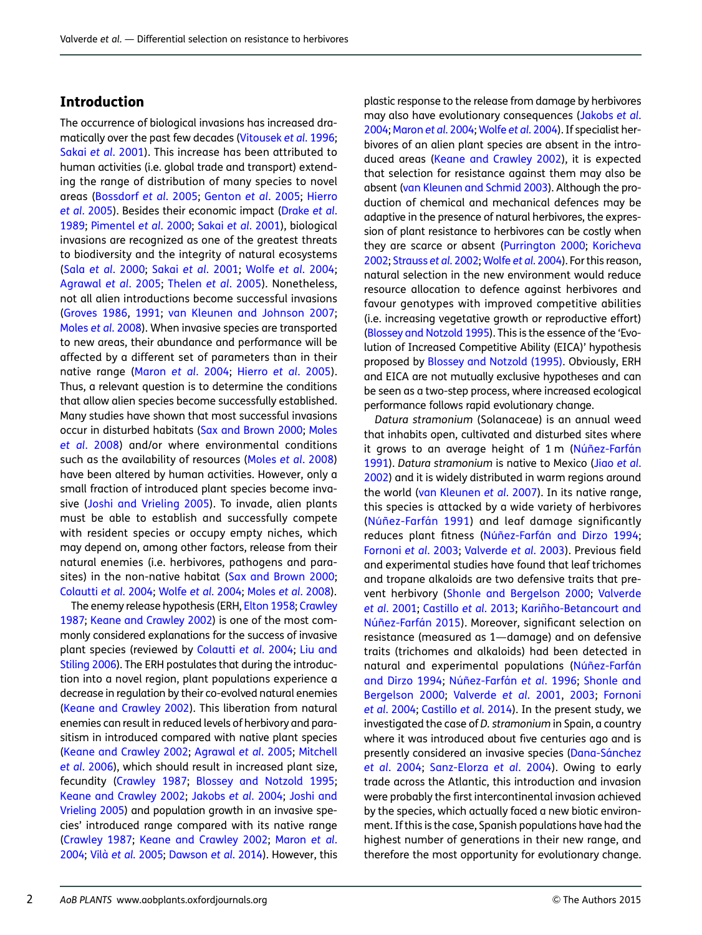## Introduction

The occurrence of biological invasions has increased dramatically over the past few decades ([Vitousek](#page-12-0) et al. 1996; Sakai et al[. 2001](#page-11-0)). This increase has been attributed to human activities (i.e. global trade and transport) extending the range of distribution of many species to novel areas ([Bossdorf](#page-9-0) et al. 2005; [Genton](#page-10-0) et al. 2005; [Hierro](#page-10-0) et al[. 2005\)](#page-10-0). Besides their economic impact ([Drake](#page-10-0) et al. [1989](#page-10-0); [Pimentel](#page-11-0) et al. 2000; Sakai et al[. 2001\)](#page-11-0), biological invasions are recognized as one of the greatest threats to biodiversity and the integrity of natural ecosystems (Sala et al[. 2000](#page-11-0); Sakai et al[. 2001;](#page-11-0) Wolfe et al[. 2004](#page-12-0); [Agrawal](#page-9-0) et al. 2005; [Thelen](#page-11-0) et al. 2005). Nonetheless, not all alien introductions become successful invasions [\(Groves 1986](#page-10-0), [1991](#page-10-0); [van Kleunen and Johnson 2007](#page-11-0); Moles et al[. 2008](#page-11-0)). When invasive species are transported to new areas, their abundance and performance will be affected by a different set of parameters than in their native range (Maron et al[. 2004;](#page-10-0) Hierro et al[. 2005\)](#page-10-0). Thus, a relevant question is to determine the conditions that allow alien species become successfully established. Many studies have shown that most successful invasions occur in disturbed habitats [\(Sax and Brown 2000](#page-11-0); [Moles](#page-11-0) et al[. 2008](#page-11-0)) and/or where environmental conditions such as the availability of resources (Moles et al[. 2008](#page-11-0)) have been altered by human activities. However, only a small fraction of introduced plant species become invasive [\(Joshi and Vrieling 2005\)](#page-10-0). To invade, alien plants must be able to establish and successfully compete with resident species or occupy empty niches, which may depend on, among other factors, release from their natural enemies (i.e. herbivores, pathogens and para-sites) in the non-native habitat ([Sax and Brown 2000](#page-11-0); [Colautti](#page-10-0) et al. 2004; Wolfe et al[. 2004](#page-12-0); Moles et al[. 2008\)](#page-11-0).

The enemy release hypothesis (ERH, [Elton 1958](#page-10-0); [Crawley](#page-10-0) [1987;](#page-10-0) [Keane and Crawley 2002](#page-10-0)) is one of the most commonly considered explanations for the success of invasive plant species (reviewed by [Colautti](#page-10-0) et al. 2004; [Liu and](#page-10-0) [Stiling 2006\)](#page-10-0). The ERH postulates that during the introduction into a novel region, plant populations experience a decrease in regulation by their co-evolved natural enemies [\(Keane and Crawley 2002\)](#page-10-0). This liberation from natural enemies can result in reduced levels of herbivory and parasitism in introduced compared with native plant species [\(Keane and Crawley 2002;](#page-10-0) [Agrawal](#page-9-0) et al. 2005; [Mitchell](#page-11-0) et al[. 2006](#page-11-0)), which should result in increased plant size, fecundity ([Crawley 1987;](#page-10-0) [Blossey and Notzold 1995](#page-9-0); [Keane and Crawley 2002](#page-10-0); [Jakobs](#page-10-0) et al. 2004; [Joshi and](#page-10-0) [Vrieling 2005](#page-10-0)) and population growth in an invasive species' introduced range compared with its native range [\(Crawley 1987](#page-10-0); [Keane and Crawley 2002](#page-10-0); [Maron](#page-10-0) et al. [2004;](#page-10-0) Vilà et al[. 2005](#page-11-0); [Dawson](#page-10-0) et al. 2014). However, this plastic response to the release from damage by herbivores may also have evolutionary consequences [\(Jakobs](#page-10-0) et al. [2004;](#page-10-0) [Maron](#page-10-0) et al. 2004; Wolfe et al[. 2004](#page-12-0)). If specialist herbivores of an alien plant species are absent in the introduced areas [\(Keane and Crawley 2002\)](#page-10-0), it is expected that selection for resistance against them may also be absent [\(van Kleunen and Schmid 2003\)](#page-11-0). Although the production of chemical and mechanical defences may be adaptive in the presence of natural herbivores, the expression of plant resistance to herbivores can be costly when they are scarce or absent ([Purrington 2000;](#page-11-0) [Koricheva](#page-10-0) [2002;](#page-10-0) [Strauss](#page-11-0) et al. 2002; Wolfe et al[. 2004\)](#page-12-0). For this reason, natural selection in the new environment would reduce resource allocation to defence against herbivores and favour genotypes with improved competitive abilities (i.e. increasing vegetative growth or reproductive effort) ([Blossey and Notzold 1995](#page-9-0)). This is the essence of the 'Evolution of Increased Competitive Ability (EICA)' hypothesis proposed by [Blossey and Notzold \(1995\).](#page-9-0) Obviously, ERH and EICA are not mutually exclusive hypotheses and can be seen as a two-step process, where increased ecological performance follows rapid evolutionary change.

Datura stramonium (Solanaceae) is an annual weed that inhabits open, cultivated and disturbed sites where it grows to an average height of  $1 \text{ m}$  (Núñez-Farfán [1991\)](#page-11-0). Datura stramonium is native to Mexico (Jiao [et al](#page-10-0). [2002\)](#page-10-0) and it is widely distributed in warm regions around the world [\(van Kleunen](#page-11-0) et al. 2007). In its native range, this species is attacked by a wide variety of herbivores (Núñez-Farfán 1991) and leaf damage significantly reduces plant fitness (Núñez-Farfán and Dirzo 1994; [Fornoni](#page-10-0) et al. 2003; [Valverde](#page-11-0) et al. 2003). Previous field and experimental studies have found that leaf trichomes and tropane alkaloids are two defensive traits that prevent herbivory [\(Shonle and Bergelson 2000](#page-11-0); [Valverde](#page-11-0) et al[. 2001;](#page-11-0) [Castillo](#page-10-0) et al. 2013; Kariñho-Betancourt and Núñez-Farfán 2015). Moreover, significant selection on resistance (measured as 1—damage) and on defensive traits (trichomes and alkaloids) had been detected in natural and experimental populations (Núñez-Farfán [and Dirzo 1994](#page-11-0); Núñez-Farfán et al. 1996; [Shonle and](#page-11-0) [Bergelson 2000;](#page-11-0) [Valverde](#page-11-0) et al. 2001, [2003](#page-11-0); [Fornoni](#page-10-0) et al[. 2004](#page-10-0); [Castillo](#page-10-0) et al. 2014). In the present study, we investigated the case of D. stramonium in Spain, a country where it was introduced about five centuries ago and is presently considered an invasive species (Dana-Sánchez et al[. 2004](#page-10-0); [Sanz-Elorza](#page-11-0) et al. 2004). Owing to early trade across the Atlantic, this introduction and invasion were probably the first intercontinental invasion achieved by the species, which actually faced a new biotic environment. If this is the case, Spanish populations have had the highest number of generations in their new range, and therefore the most opportunity for evolutionary change.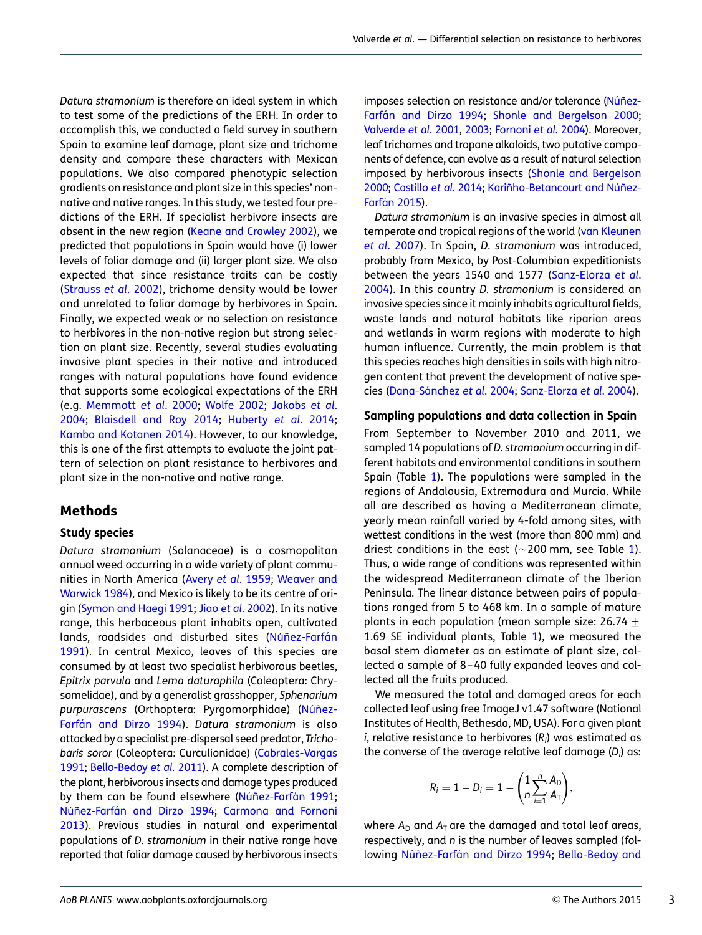Datura stramonium is therefore an ideal system in which to test some of the predictions of the ERH. In order to accomplish this, we conducted a field survey in southern Spain to examine leaf damage, plant size and trichome density and compare these characters with Mexican populations. We also compared phenotypic selection gradients on resistance and plant size in this species' nonnative and native ranges. In this study, we tested four predictions of the ERH. If specialist herbivore insects are absent in the new region ([Keane and Crawley 2002](#page-10-0)), we predicted that populations in Spain would have (i) lower levels of foliar damage and (ii) larger plant size. We also expected that since resistance traits can be costly [\(Strauss](#page-11-0) et al. 2002), trichome density would be lower and unrelated to foliar damage by herbivores in Spain. Finally, we expected weak or no selection on resistance to herbivores in the non-native region but strong selection on plant size. Recently, several studies evaluating invasive plant species in their native and introduced ranges with natural populations have found evidence that supports some ecological expectations of the ERH (e.g. [Memmott](#page-11-0) et al. 2000; [Wolfe 2002](#page-12-0); [Jakobs](#page-10-0) et al. [2004;](#page-10-0) [Blaisdell and Roy 2014;](#page-9-0) [Huberty](#page-10-0) et al. 2014; [Kambo and Kotanen 2014](#page-10-0)). However, to our knowledge, this is one of the first attempts to evaluate the joint pattern of selection on plant resistance to herbivores and plant size in the non-native and native range.

#### Methods

#### Study species

Datura stramonium (Solanaceae) is a cosmopolitan annual weed occurring in a wide variety of plant communities in North America (Avery et al[. 1959](#page-9-0); [Weaver and](#page-12-0) [Warwick 1984](#page-12-0)), and Mexico is likely to be its centre of ori-gin ([Symon and Haegi 1991](#page-11-0); Jiao et al[. 2002\)](#page-10-0). In its native range, this herbaceous plant inhabits open, cultivated lands, roadsides and disturbed sites (Núñez-Farfán [1991\)](#page-11-0). In central Mexico, leaves of this species are consumed by at least two specialist herbivorous beetles, Epitrix parvula and Lema daturaphila (Coleoptera: Chrysomelidae), and by a generalist grasshopper, Sphenarium purpurascens (Orthoptera: Pyrgomorphidae) (Núñez-Farfán and Dirzo 1994). Datura stramonium is also attacked by a specialist pre-dispersal seed predator, Trichobaris soror (Coleoptera: Curculionidae) ([Cabrales-Vargas](#page-9-0) [1991;](#page-9-0) [Bello-Bedoy](#page-9-0) et al. 2011). A complete description of the plant, herbivorous insects and damage types produced by them can be found elsewhere (Núñez-Farfán 1991; Núñez-Farfán and Dirzo 1994; [Carmona and Fornoni](#page-10-0) [2013](#page-10-0)). Previous studies in natural and experimental populations of D. stramonium in their native range have reported that foliar damage caused by herbivorous insects

imposes selection on resistance and/or tolerance (Núñez-Farfán and Dirzo 1994; [Shonle and Bergelson 2000](#page-11-0); [Valverde](#page-11-0) et al. 2001, [2003](#page-11-0); [Fornoni](#page-10-0) et al. 2004). Moreover, leaf trichomes and tropane alkaloids, two putative components of defence, can evolve as a result of natural selection imposed by herbivorous insects ([Shonle and Bergelson](#page-11-0) [2000](#page-11-0); [Castillo](#page-10-0) et al. 2014; Kariñho-Betancourt and Núñez-**Farfán 2015).** 

Datura stramonium is an invasive species in almost all temperate and tropical regions of the world [\(van Kleunen](#page-11-0) et al[. 2007](#page-11-0)). In Spain, D. stramonium was introduced, probably from Mexico, by Post-Columbian expeditionists between the years 1540 and 1577 [\(Sanz-Elorza](#page-10-0) et al. [2004](#page-10-0)). In this country D. stramonium is considered an invasive species since it mainly inhabits agricultural fields, waste lands and natural habitats like riparian areas and wetlands in warm regions with moderate to high human influence. Currently, the main problem is that this species reaches high densities in soils with high nitrogen content that prevent the development of native spe-cies (Dana-Sánchez et al. 2004; [Sanz-Elorza](#page-10-0) et al. 2004).

#### Sampling populations and data collection in Spain

From September to November 2010 and 2011, we sampled 14 populations of D. stramonium occurring in different habitats and environmental conditions in southern Spain (Table [1\)](#page-3-0). The populations were sampled in the regions of Andalousia, Extremadura and Murcia. While all are described as having a Mediterranean climate, yearly mean rainfall varied by 4-fold among sites, with wettest conditions in the west (more than 800 mm) and driest conditions in the east ( $\sim$ 200 mm, see Table [1\)](#page-3-0). Thus, a wide range of conditions was represented within the widespread Mediterranean climate of the Iberian Peninsula. The linear distance between pairs of populations ranged from 5 to 468 km. In a sample of mature plants in each population (mean sample size: 26.74  $\pm$ 1.69 SE individual plants, Table [1\)](#page-3-0), we measured the basal stem diameter as an estimate of plant size, collected a sample of 8–40 fully expanded leaves and collected all the fruits produced.

We measured the total and damaged areas for each collected leaf using free ImageJ v1.47 software (National Institutes of Health, Bethesda, MD, USA). For a given plant  $i$ , relative resistance to herbivores (R $_{i}$ ) was estimated as the converse of the average relative leaf damage (D $_{\it i}$ ) as:

$$
R_i=1-D_i=1-\bigg(\frac{1}{n}\sum_{i=1}^n\frac{A_D}{A_T}\bigg),
$$

where  $A_D$  and  $A_T$  are the damaged and total leaf areas, respectively, and n is the number of leaves sampled (fol-lowing Núñez-Farfán and Dirzo 1994; [Bello-Bedoy and](#page-9-0)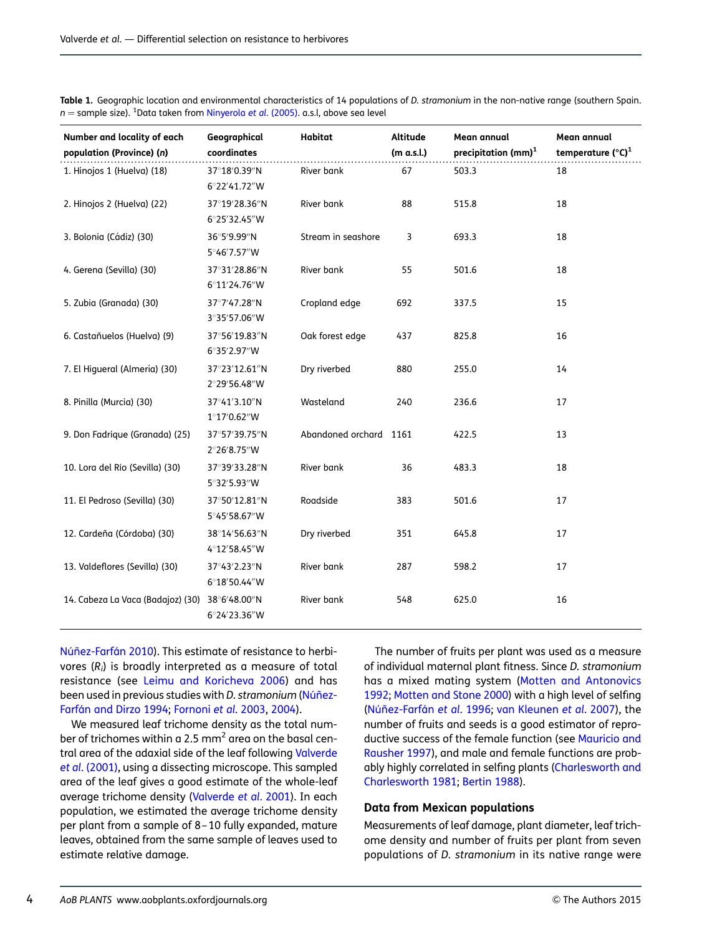| Number and locality of each<br>population (Province) (n) | Geographical<br>coordinates           | Habitat                | Altitude<br>(m a.s.l.) | Mean annual<br>precipitation (mm) $1$ | Mean annual<br>temperature $(^{\circ}C)^{1}$ |
|----------------------------------------------------------|---------------------------------------|------------------------|------------------------|---------------------------------------|----------------------------------------------|
| 1. Hinojos 1 (Huelva) (18)                               | 37°18'0.39"N<br>6°22′41.72″W          | River bank             | 67                     | 503.3                                 | 18                                           |
| 2. Hinojos 2 (Huelva) (22)                               | 37°19'28.36"N<br>6°25′32.45″W         | River bank             | 88                     | 515.8                                 | 18                                           |
| 3. Bolonia (Cádiz) (30)                                  | 36°5'9.99"N<br>5°46′7.57″W            | Stream in seashore     | 3                      | 693.3                                 | 18                                           |
| 4. Gerena (Sevilla) (30)                                 | 37°31′28.86″N<br>6°11′24.76″W         | River bank             | 55                     | 501.6                                 | 18                                           |
| 5. Zubia (Granada) (30)                                  | 37°7′47.28″N<br>3°35′57.06″W          | Cropland edge          | 692                    | 337.5                                 | 15                                           |
| 6. Castañuelos (Huelva) (9)                              | 37°56′19.83″N<br>6°35'2.97"W          | Oak forest edge        | 437                    | 825.8                                 | 16                                           |
| 7. El Higueral (Almería) (30)                            | 37°23′12.61″N<br>2°29′56.48″W         | Dry riverbed           | 880                    | 255.0                                 | 14                                           |
| 8. Pinilla (Murcia) (30)                                 | 37°41′3.10″N<br>$1^{\circ}17'0.62''W$ | Wasteland              | 240                    | 236.6                                 | 17                                           |
| 9. Don Fadrique (Granada) (25)                           | 37°57′39.75″N<br>2°26′8.75″W          | Abandoned orchard 1161 |                        | 422.5                                 | 13                                           |
| 10. Lora del Río (Sevilla) (30)                          | 37°39′33.28″N<br>5°32'5.93"W          | River bank             | 36                     | 483.3                                 | 18                                           |
| 11. El Pedroso (Sevilla) (30)                            | 37°50′12.81″N<br>5°45′58.67″W         | Roadside               | 383                    | 501.6                                 | 17                                           |
| 12. Cardeña (Córdoba) (30)                               | 38°14′56.63″N<br>4°12′58.45″W         | Dry riverbed           | 351                    | 645.8                                 | 17                                           |
| 13. Valdeflores (Sevilla) (30)                           | 37°43′2.23″N<br>6°18′50.44″W          | River bank             | 287                    | 598.2                                 | 17                                           |
| 14. Cabeza La Vaca (Badajoz) (30)                        | 38°6′48.00″N<br>6°24'23.36"W          | River bank             | 548                    | 625.0                                 | 16                                           |

<span id="page-3-0"></span>Table 1. Geographic location and environmental characteristics of 14 populations of D. stramonium in the non-native range (southern Spain. n = sample size). <sup>1</sup>Data taken from <mark>[Ninyerola](#page-11-0) et al. (2005). a.</mark>s.l, above sea level

Núñez-Farfán 2010). This estimate of resistance to herbivores  $(R_i)$  is broadly interpreted as a measure of total resistance (see [Leimu and Koricheva 2006](#page-10-0)) and has been used in previous studies with D. stramonium (Núñez-Farfán and Dirzo 1994; [Fornoni](#page-10-0) et al. 2003, [2004](#page-10-0)).

We measured leaf trichome density as the total number of trichomes within a 2.5 mm<sup>2</sup> area on the basal central area of the adaxial side of the leaf following [Valverde](#page-11-0) et al[. \(2001\)](#page-11-0), using a dissecting microscope. This sampled area of the leaf gives a good estimate of the whole-leaf average trichome density [\(Valverde](#page-11-0) et al. 2001). In each population, we estimated the average trichome density per plant from a sample of 8–10 fully expanded, mature leaves, obtained from the same sample of leaves used to estimate relative damage.

The number of fruits per plant was used as a measure of individual maternal plant fitness. Since D. stramonium has a mixed mating system ([Motten and Antonovics](#page-11-0) [1992;](#page-11-0) [Motten and Stone 2000](#page-11-0)) with a high level of selfing (Núñez-Farfán et al. 1996; [van Kleunen](#page-11-0) et al. 2007), the number of fruits and seeds is a good estimator of reproductive success of the female function (see [Mauricio and](#page-11-0) [Rausher 1997](#page-11-0)), and male and female functions are probably highly correlated in selfing plants ([Charlesworth and](#page-10-0) [Charlesworth 1981;](#page-10-0) [Bertin 1988\)](#page-9-0).

#### Data from Mexican populations

Measurements of leaf damage, plant diameter, leaf trichome density and number of fruits per plant from seven populations of D. stramonium in its native range were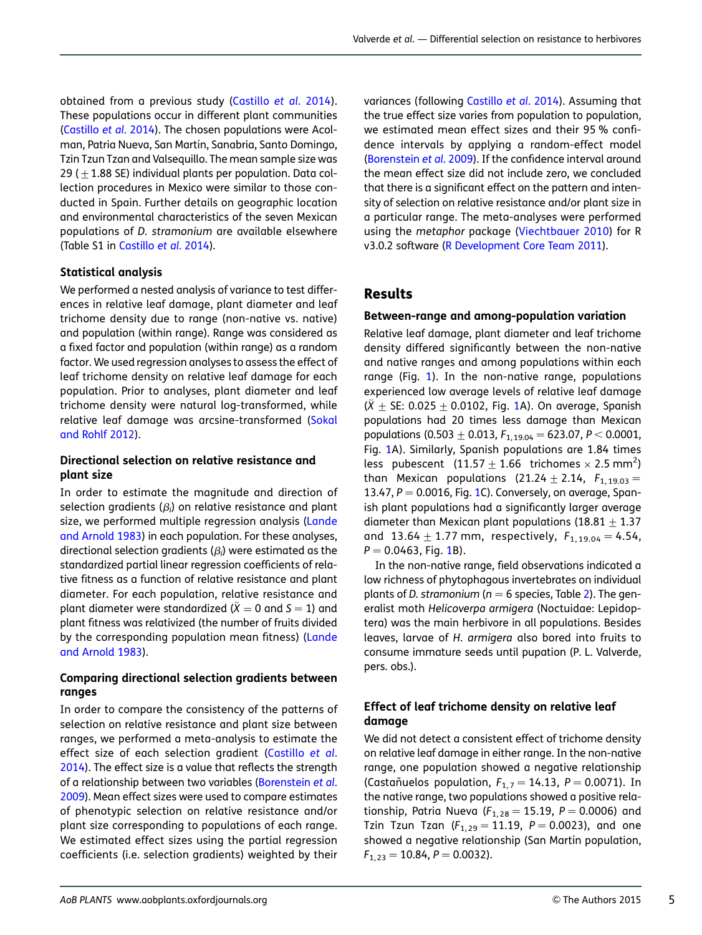obtained from a previous study ([Castillo](#page-10-0) et al. 2014). These populations occur in different plant communities [\(Castillo](#page-10-0) et al. 2014). The chosen populations were Acolman, Patria Nueva, San Martín, Sanabria, Santo Domingo, Tzin Tzun Tzan and Valsequillo. The mean sample size was 29 ( $+1.88$  SE) individual plants per population. Data collection procedures in Mexico were similar to those conducted in Spain. Further details on geographic location and environmental characteristics of the seven Mexican populations of D. stramonium are available elsewhere (Table S1 in [Castillo](#page-10-0) et al. 2014).

#### Statistical analysis

We performed a nested analysis of variance to test differences in relative leaf damage, plant diameter and leaf trichome density due to range (non-native vs. native) and population (within range). Range was considered as a fixed factor and population (within range) as a random factor. We used regression analyses to assess the effect of leaf trichome density on relative leaf damage for each population. Prior to analyses, plant diameter and leaf trichome density were natural log-transformed, while relative leaf damage was arcsine-transformed ([Sokal](#page-11-0) [and Rohlf 2012](#page-11-0)).

#### Directional selection on relative resistance and plant size

In order to estimate the magnitude and direction of selection gradients ( $\beta_i$ ) on relative resistance and plant size, we performed multiple regression analysis [\(Lande](#page-10-0) [and Arnold 1983](#page-10-0)) in each population. For these analyses, directional selection gradients ( $\beta_i$ ) were estimated as the standardized partial linear regression coefficients of relative fitness as a function of relative resistance and plant diameter. For each population, relative resistance and plant diameter were standardized ( $\bar{X} = 0$  and  $S = 1$ ) and plant fitness was relativized (the number of fruits divided by the corresponding population mean fitness) [\(Lande](#page-10-0) [and Arnold 1983\)](#page-10-0).

#### Comparing directional selection gradients between ranges

In order to compare the consistency of the patterns of selection on relative resistance and plant size between ranges, we performed a meta-analysis to estimate the effect size of each selection gradient [\(Castillo](#page-10-0) et al. [2014\)](#page-10-0). The effect size is a value that reflects the strength of a relationship between two variables [\(Borenstein](#page-9-0) et al. [2009\)](#page-9-0). Mean effect sizes were used to compare estimates of phenotypic selection on relative resistance and/or plant size corresponding to populations of each range. We estimated effect sizes using the partial regression coefficients (i.e. selection gradients) weighted by their

variances (following [Castillo](#page-10-0) et al. 2014). Assuming that the true effect size varies from population to population, we estimated mean effect sizes and their 95 % confidence intervals by applying a random-effect model ([Borenstein](#page-9-0) et al. 2009). If the confidence interval around the mean effect size did not include zero, we concluded that there is a significant effect on the pattern and intensity of selection on relative resistance and/or plant size in a particular range. The meta-analyses were performed using the metaphor package [\(Viechtbauer 2010\)](#page-11-0) for R v3.0.2 software [\(R Development Core Team 2011](#page-11-0)).

## Results

#### Between-range and among-population variation

Relative leaf damage, plant diameter and leaf trichome density differed significantly between the non-native and native ranges and among populations within each range (Fig. [1\)](#page-5-0). In the non-native range, populations experienced low average levels of relative leaf damage  $(\bar{X} \pm S)E$ : 0.025  $\pm$  0.0[1](#page-5-0)02, Fig. 1A). On average, Spanish populations had 20 times less damage than Mexican populations (0.503  $\pm$  0.013,  $F_{1,19,04}$  = 623.07, P < 0.0001, Fig. [1A](#page-5-0)). Similarly, Spanish populations are 1.84 times less pubescent  $(11.57 \pm 1.66$  trichomes  $\times$  2.5 mm<sup>2</sup>) than Mexican populations (21.24  $\pm$  2.14,  $F_{1, 19.03}$  = 13.47,  $P = 0.0016$ , Fig. [1C](#page-5-0)). Conversely, on average, Spanish plant populations had a significantly larger average diameter than Mexican plant populations (18.81  $\pm$  1.37 and 13.64  $\pm$  1.77 mm, respectively,  $F_{1, 19.04} = 4.54$ ,  $P = 0.0463$ , Fig. [1](#page-5-0)B).

In the non-native range, field observations indicated a low richness of phytophagous invertebrates on individual plants of D. stramonium ( $n = 6$  species, Table [2](#page-6-0)). The generalist moth Helicoverpa armigera (Noctuidae: Lepidoptera) was the main herbivore in all populations. Besides leaves, larvae of H. armigera also bored into fruits to consume immature seeds until pupation (P. L. Valverde, pers. obs.).

#### Effect of leaf trichome density on relative leaf damage

We did not detect a consistent effect of trichome density on relative leaf damage in either range. In the non-native range, one population showed a negative relationship (Castañuelos population,  $F_{1,7} = 14.13$ ,  $P = 0.0071$ ). In the native range, two populations showed a positive relationship, Patria Nueva ( $F_{1, 28} = 15.19$ ,  $P = 0.0006$ ) and Tzin Tzun Tzan  $(F_{1, 29} = 11.19, P = 0.0023)$ , and one showed a negative relationship (San Martín population,  $F_{1, 23} = 10.84, P = 0.0032$ ).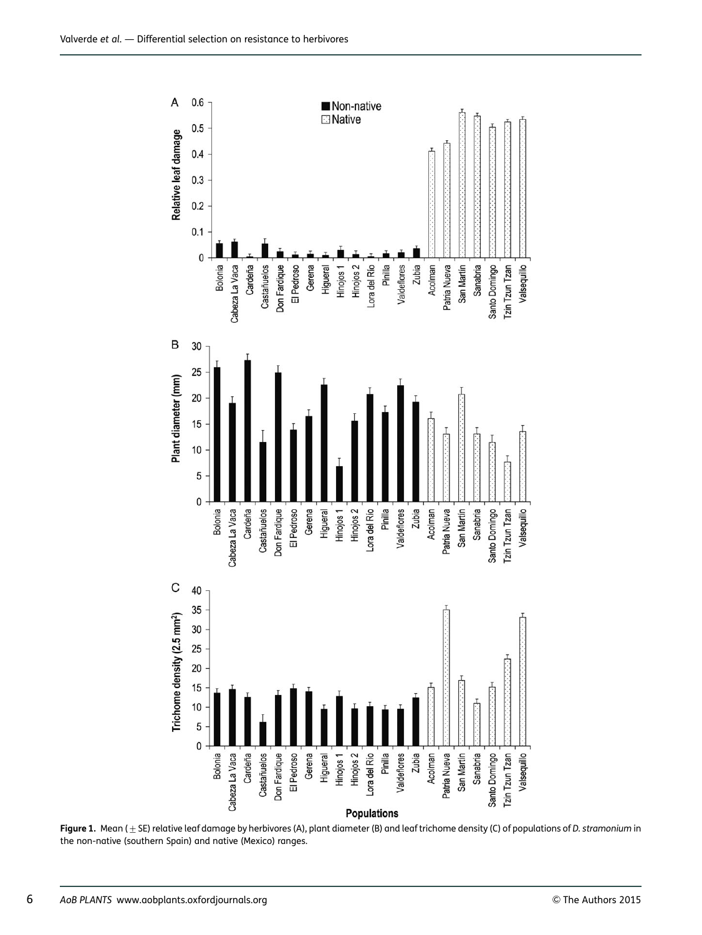<span id="page-5-0"></span>

Figure 1. Mean ( $\pm$  SE) relative leaf damage by herbivores (A), plant diameter (B) and leaf trichome density (C) of populations of D. stramonium in the non-native (southern Spain) and native (Mexico) ranges.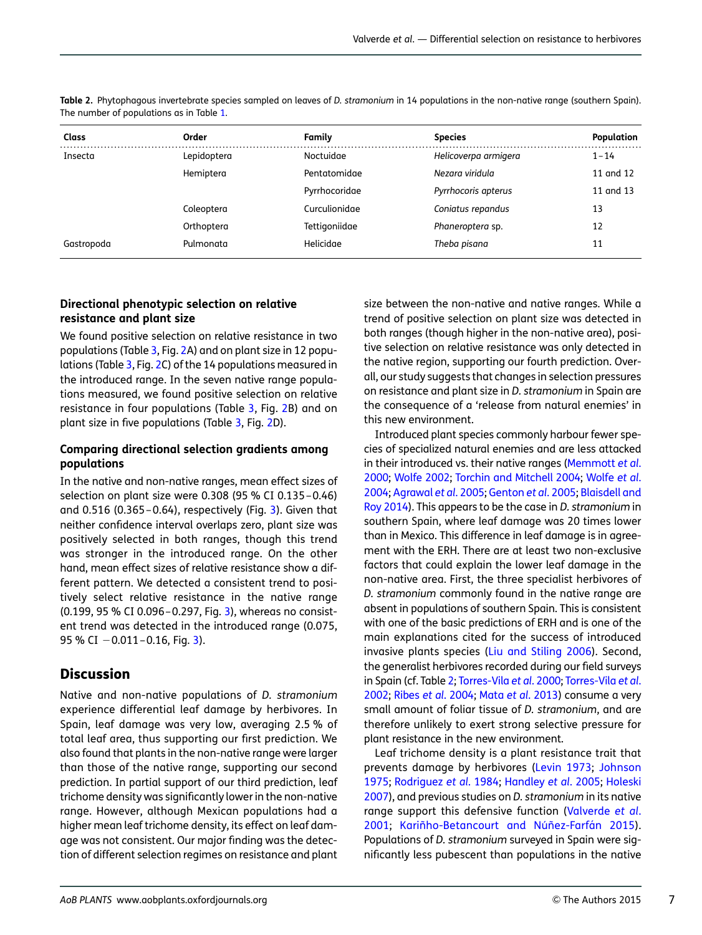| Class      | Order       | Family        | <b>Species</b>       | Population |
|------------|-------------|---------------|----------------------|------------|
| Insecta    | Lepidoptera | Noctuidae     | Helicoverpa armigera | $1 - 14$   |
|            | Hemiptera   | Pentatomidae  | Nezara viridula      | 11 and 12  |
|            |             | Pyrrhocoridae | Pyrrhocoris apterus  | 11 and 13  |
|            | Coleoptera  | Curculionidae | Coniatus repandus    | 13         |
|            | Orthoptera  | Tettigoniidae | Phaneroptera sp.     | 12         |
| Gastropoda | Pulmonata   | Helicidae     | Theba pisana         | 11         |

<span id="page-6-0"></span>Table 2. Phytophagous invertebrate species sampled on leaves of D. stramonium in 14 populations in the non-native range (southern Spain). The number of populations as in Table [1](#page-3-0).

#### Directional phenotypic selection on relative resistance and plant size

We found positive selection on relative resistance in two populations (Table [3](#page-7-0), Fig. [2A](#page-8-0)) and on plant size in 12 populations (Table [3](#page-7-0), Fig. [2](#page-8-0)C) of the 14 populations measured in the introduced range. In the seven native range populations measured, we found positive selection on relative resistance in four populations (Table [3](#page-7-0), Fig. [2B](#page-8-0)) and on plant size in five populations (Table [3,](#page-7-0) Fig. [2D](#page-8-0)).

#### Comparing directional selection gradients among populations

In the native and non-native ranges, mean effect sizes of selection on plant size were 0.308 (95 % CI 0.135–0.46) and 0.516 (0.365–0.64), respectively (Fig. [3](#page-9-0)). Given that neither confidence interval overlaps zero, plant size was positively selected in both ranges, though this trend was stronger in the introduced range. On the other hand, mean effect sizes of relative resistance show a different pattern. We detected a consistent trend to positively select relative resistance in the native range (0.199, 95 % CI 0.096–0.297, Fig. [3\)](#page-9-0), whereas no consistent trend was detected in the introduced range (0.075, 95 % CI  $-0.011-0.16$ , Fig. [3\)](#page-9-0).

## Discussion

Native and non-native populations of D. stramonium experience differential leaf damage by herbivores. In Spain, leaf damage was very low, averaging 2.5 % of total leaf area, thus supporting our first prediction. We also found that plants in the non-native range were larger than those of the native range, supporting our second prediction. In partial support of our third prediction, leaf trichome density was significantly lower in the non-native range. However, although Mexican populations had a higher mean leaf trichome density, its effect on leaf damage was not consistent. Our major finding was the detection of different selection regimes on resistance and plant size between the non-native and native ranges. While a trend of positive selection on plant size was detected in both ranges (though higher in the non-native area), positive selection on relative resistance was only detected in the native region, supporting our fourth prediction. Overall, our study suggests that changes in selection pressures on resistance and plant size in D. stramonium in Spain are the consequence of a 'release from natural enemies' in this new environment.

Introduced plant species commonly harbour fewer species of specialized natural enemies and are less attacked in their introduced vs. their native ranges [\(Memmott](#page-11-0) et al. [2000;](#page-11-0) [Wolfe 2002;](#page-12-0) [Torchin and Mitchell 2004;](#page-11-0) [Wolfe](#page-12-0) et al. [2004;](#page-12-0) [Agrawal](#page-9-0) et al. 2005; [Genton](#page-10-0) et al. 2005; [Blaisdell and](#page-9-0) [Roy 2014](#page-9-0)). This appears to be the case in D. stramonium in southern Spain, where leaf damage was 20 times lower than in Mexico. This difference in leaf damage is in agreement with the ERH. There are at least two non-exclusive factors that could explain the lower leaf damage in the non-native area. First, the three specialist herbivores of D. stramonium commonly found in the native range are absent in populations of southern Spain. This is consistent with one of the basic predictions of ERH and is one of the main explanations cited for the success of introduced invasive plants species [\(Liu and Stiling 2006](#page-10-0)). Second, the generalist herbivores recorded during our field surveys in Spain (cf. Table 2; [Torres-Vila](#page-11-0) et al. 2000; [Torres-Vila](#page-11-0) et al. [2002;](#page-11-0) Ribes et al[. 2004](#page-11-0); Mata et al[. 2013\)](#page-10-0) consume a very small amount of foliar tissue of D. stramonium, and are therefore unlikely to exert strong selective pressure for plant resistance in the new environment.

Leaf trichome density is a plant resistance trait that prevents damage by herbivores [\(Levin 1973](#page-10-0); [Johnson](#page-10-0) [1975;](#page-10-0) [Rodriguez](#page-11-0) et al. 1984; [Handley](#page-10-0) et al. 2005; [Holeski](#page-10-0) [2007\)](#page-10-0), and previous studies on D. stramonium in its native range support this defensive function [\(Valverde](#page-11-0) et al. [2001](#page-11-0); Kariñho-Betancourt and Núñez-Farfán 2015). Populations of D. stramonium surveyed in Spain were significantly less pubescent than populations in the native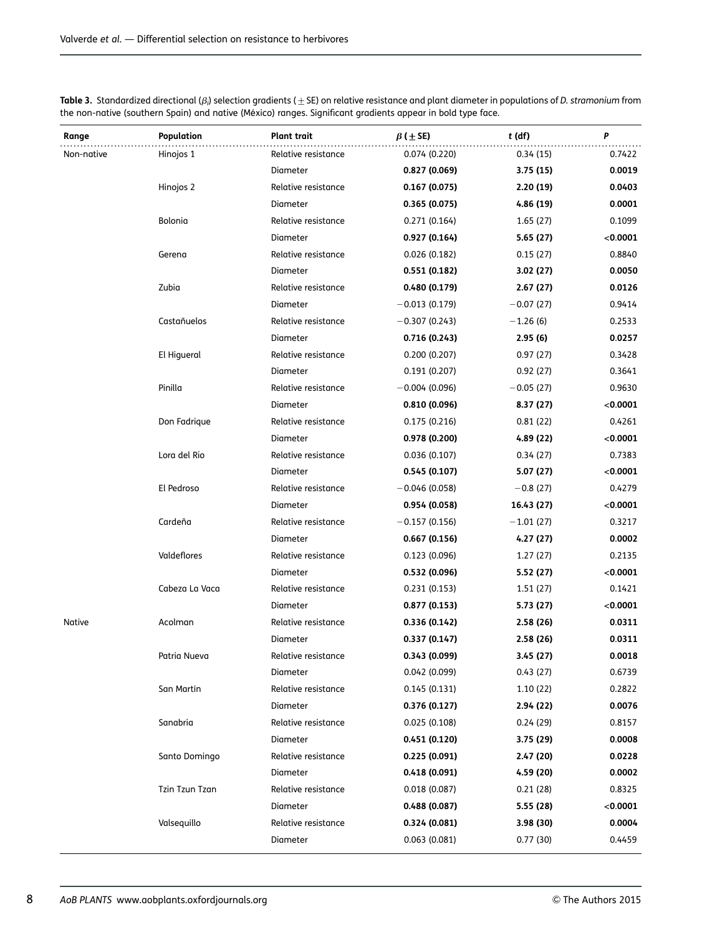<span id="page-7-0"></span>

| Table 3. Standardized directional ( $\beta_i$ ) selection gradients ( $\pm$ SE) on relative resistance and plant diameter in populations of D. stramonium from |  |
|----------------------------------------------------------------------------------------------------------------------------------------------------------------|--|
| the non-native (southern Spain) and native (México) ranges. Significant gradients appear in bold type face.                                                    |  |

| Range         | Population     | Plant trait         | $\beta$ ( $\pm$ SE) | $t$ (df)    | P        |
|---------------|----------------|---------------------|---------------------|-------------|----------|
| Non-native    | Hinojos 1      | Relative resistance | 0.074 (0.220)       | 0.34(15)    | 0.7422   |
|               |                | Diameter            | 0.827(0.069)        | 3.75(15)    | 0.0019   |
|               | Hinojos 2      | Relative resistance | 0.167(0.075)        | 2.20(19)    | 0.0403   |
|               |                | Diameter            | 0.365(0.075)        | 4.86 (19)   | 0.0001   |
|               | Bolonia        | Relative resistance | 0.271(0.164)        | 1.65(27)    | 0.1099   |
|               |                | Diameter            | 0.927(0.164)        | 5.65(27)    | < 0.0001 |
|               | Gerena         | Relative resistance | 0.026(0.182)        | 0.15(27)    | 0.8840   |
|               |                | Diameter            | 0.551(0.182)        | 3.02(27)    | 0.0050   |
|               | Zubia          | Relative resistance | 0.480 (0.179)       | 2.67(27)    | 0.0126   |
|               |                | Diameter            | $-0.013(0.179)$     | $-0.07(27)$ | 0.9414   |
|               | Castañuelos    | Relative resistance | $-0.307(0.243)$     | $-1.26(6)$  | 0.2533   |
|               |                | Diameter            | 0.716(0.243)        | 2.95(6)     | 0.0257   |
|               | El Higueral    | Relative resistance | 0.200(0.207)        | 0.97(27)    | 0.3428   |
|               |                | Diameter            | 0.191(0.207)        | 0.92(27)    | 0.3641   |
|               | Pinilla        | Relative resistance | $-0.004(0.096)$     | $-0.05(27)$ | 0.9630   |
|               |                | Diameter            | 0.810 (0.096)       | 8.37 (27)   | < 0.0001 |
|               | Don Fadrique   | Relative resistance | 0.175(0.216)        | 0.81(22)    | 0.4261   |
|               |                | Diameter            | 0.978 (0.200)       | 4.89 (22)   | < 0.0001 |
|               | Lora del Río   | Relative resistance | 0.036(0.107)        | 0.34(27)    | 0.7383   |
|               |                | Diameter            | 0.545(0.107)        | 5.07 (27)   | < 0.0001 |
|               | El Pedroso     | Relative resistance | $-0.046(0.058)$     | $-0.8(27)$  | 0.4279   |
|               |                | Diameter            | 0.954 (0.058)       | 16.43 (27)  | < 0.0001 |
|               | Cardeña        | Relative resistance | $-0.157(0.156)$     | $-1.01(27)$ | 0.3217   |
|               |                | Diameter            | 0.667(0.156)        | 4.27 (27)   | 0.0002   |
|               | Valdeflores    | Relative resistance | 0.123(0.096)        | 1.27(27)    | 0.2135   |
|               |                | Diameter            | 0.532 (0.096)       | 5.52 (27)   | < 0.0001 |
|               | Cabeza La Vaca | Relative resistance | 0.231(0.153)        | 1.51(27)    | 0.1421   |
|               |                | Diameter            | 0.877(0.153)        | 5.73 (27)   | < 0.0001 |
| <b>Native</b> | Acolman        | Relative resistance | 0.336 (0.142)       | 2.58(26)    | 0.0311   |
|               |                | Diameter            | 0.337(0.147)        | 2.58(26)    | 0.0311   |
|               | Patria Nueva   | Relative resistance | 0.343 (0.099)       | 3.45 (27)   | 0.0018   |
|               |                | Diameter            | 0.042(0.099)        | 0.43(27)    | 0.6739   |
|               | San Martín     | Relative resistance | 0.145(0.131)        | 1.10(22)    | 0.2822   |
|               |                | Diameter            | 0.376(0.127)        | 2.94 (22)   | 0.0076   |
|               | Sanabria       | Relative resistance | 0.025(0.108)        | 0.24(29)    | 0.8157   |
|               |                | Diameter            | 0.451(0.120)        | 3.75 (29)   | 0.0008   |
|               | Santo Domingo  | Relative resistance | 0.225 (0.091)       | 2.47(20)    | 0.0228   |
|               |                | Diameter            | 0.418(0.091)        | 4.59 (20)   | 0.0002   |
|               | Tzin Tzun Tzan | Relative resistance | 0.018(0.087)        | 0.21(28)    | 0.8325   |
|               |                | Diameter            | 0.488(0.087)        | 5.55 (28)   | < 0.0001 |
|               | Valsequillo    | Relative resistance | 0.324 (0.081)       | 3.98(30)    | 0.0004   |
|               |                | Diameter            | 0.063(0.081)        | 0.77(30)    | 0.4459   |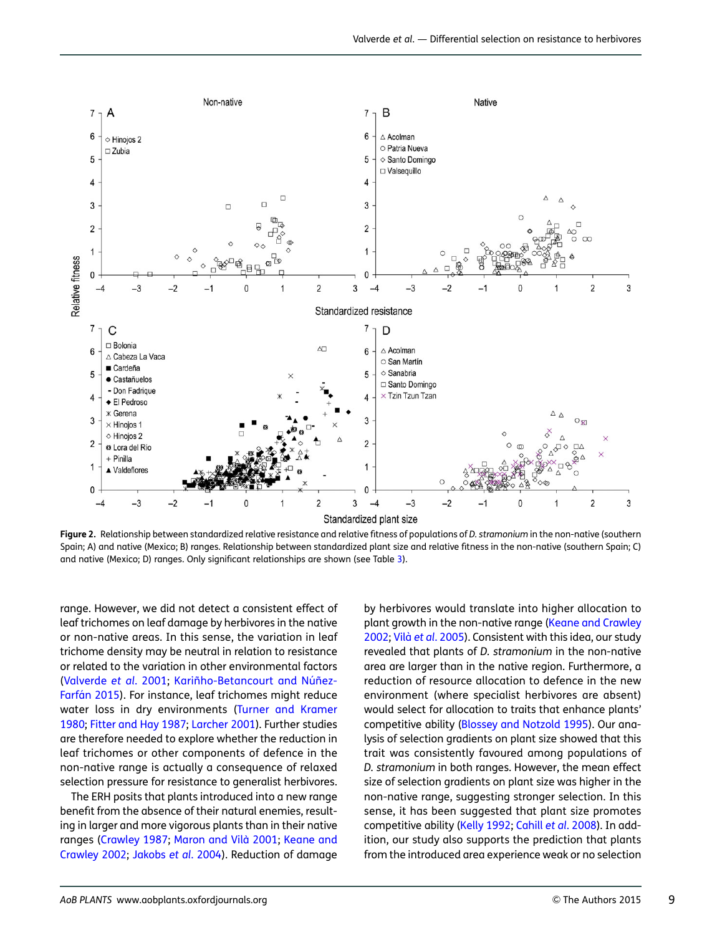<span id="page-8-0"></span>

Figure 2. Relationship between standardized relative resistance and relative fitness of populations of D. stramonium in the non-native (southern Spain; A) and native (Mexico; B) ranges. Relationship between standardized plant size and relative fitness in the non-native (southern Spain; C) and native (Mexico; D) ranges. Only significant relationships are shown (see Table [3](#page-7-0)).

range. However, we did not detect a consistent effect of leaf trichomes on leaf damage by herbivores in the native or non-native areas. In this sense, the variation in leaf trichome density may be neutral in relation to resistance or related to the variation in other environmental factors [\(Valverde](#page-11-0) et al. 2001; Kariñho-Betancourt and Núñez-Farfán 2015). For instance, leaf trichomes might reduce water loss in dry environments [\(Turner and Kramer](#page-11-0) [1980;](#page-11-0) [Fitter and Hay 1987](#page-10-0); [Larcher 2001\)](#page-10-0). Further studies are therefore needed to explore whether the reduction in leaf trichomes or other components of defence in the non-native range is actually a consequence of relaxed selection pressure for resistance to generalist herbivores.

The ERH posits that plants introduced into a new range benefit from the absence of their natural enemies, resulting in larger and more vigorous plants than in their native ranges [\(Crawley 1987;](#page-10-0) Maron and Vilà 2001; [Keane and](#page-10-0) [Crawley 2002](#page-10-0); [Jakobs](#page-10-0) et al. 2004). Reduction of damage

by herbivores would translate into higher allocation to plant growth in the non-native range ([Keane and Crawley](#page-10-0) [2002;](#page-10-0) Vilà et al[. 2005](#page-11-0)). Consistent with this idea, our study revealed that plants of D. stramonium in the non-native area are larger than in the native region. Furthermore, a reduction of resource allocation to defence in the new environment (where specialist herbivores are absent) would select for allocation to traits that enhance plants' competitive ability ([Blossey and Notzold 1995](#page-9-0)). Our analysis of selection gradients on plant size showed that this trait was consistently favoured among populations of D. stramonium in both ranges. However, the mean effect size of selection gradients on plant size was higher in the non-native range, suggesting stronger selection. In this sense, it has been suggested that plant size promotes competitive ability ([Kelly 1992;](#page-10-0) Cahill et al[. 2008](#page-10-0)). In addition, our study also supports the prediction that plants from the introduced area experience weak or no selection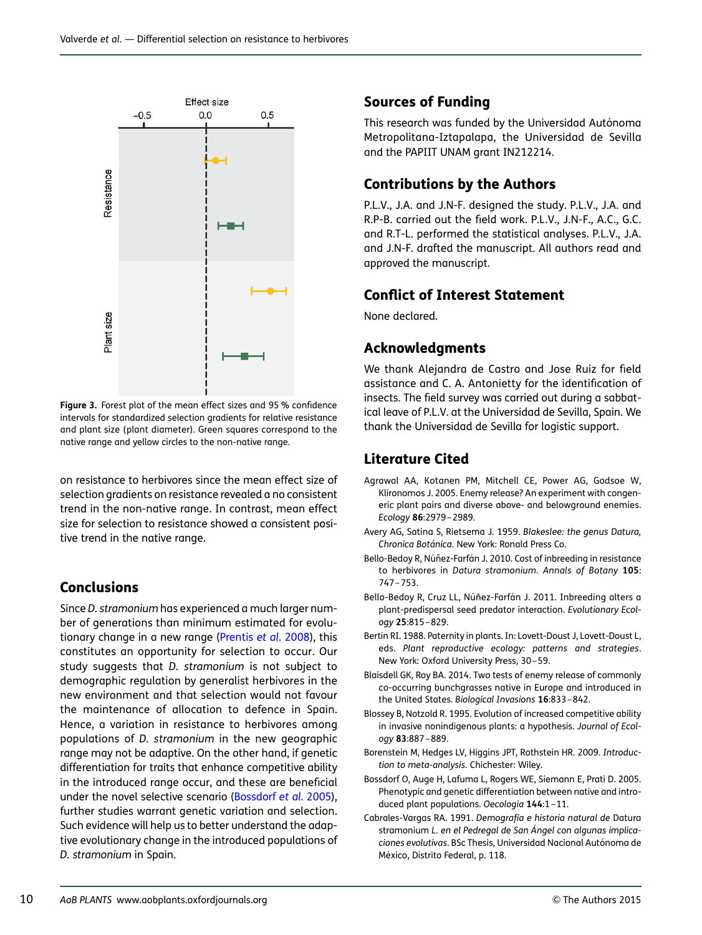<span id="page-9-0"></span>

Figure 3. Forest plot of the mean effect sizes and 95 % confidence intervals for standardized selection gradients for relative resistance and plant size (plant diameter). Green squares correspond to the native range and yellow circles to the non-native range.

on resistance to herbivores since the mean effect size of selection gradients on resistance revealed a no consistent trend in the non-native range. In contrast, mean effect size for selection to resistance showed a consistent positive trend in the native range.

## Conclusions

Since D. stramonium has experienced a much larger number of generations than minimum estimated for evolutionary change in a new range ([Prentis](#page-11-0) et al. 2008), this constitutes an opportunity for selection to occur. Our study suggests that D. stramonium is not subject to demographic regulation by generalist herbivores in the new environment and that selection would not favour the maintenance of allocation to defence in Spain. Hence, a variation in resistance to herbivores among populations of D. stramonium in the new geographic range may not be adaptive. On the other hand, if genetic differentiation for traits that enhance competitive ability in the introduced range occur, and these are beneficial under the novel selective scenario (Bossdorf et al. 2005), further studies warrant genetic variation and selection. Such evidence will help us to better understand the adaptive evolutionary change in the introduced populations of D. stramonium in Spain.

### Sources of Funding

This research was funded by the Universidad Autónoma Metropolitana-Iztapalapa, the Universidad de Sevilla and the PAPIIT UNAM grant IN212214.

## Contributions by the Authors

P.L.V., J.A. and J.N-F. designed the study. P.L.V., J.A. and R.P-B. carried out the field work. P.L.V., J.N-F., A.C., G.C. and R.T-L. performed the statistical analyses. P.L.V., J.A. and J.N-F. drafted the manuscript. All authors read and approved the manuscript.

## Conflict of Interest Statement

None declared.

## Acknowledgments

We thank Alejandra de Castro and Jose Ruiz for field assistance and C. A. Antonietty for the identification of insects. The field survey was carried out during a sabbatical leave of P.L.V. at the Universidad de Sevilla, Spain. We thank the Universidad de Sevilla for logistic support.

## Literature Cited

- Agrawal AA, Kotanen PM, Mitchell CE, Power AG, Godsoe W, Klironomos J. 2005. Enemy release? An experiment with congeneric plant pairs and diverse above- and belowground enemies. Ecology 86:2979–2989.
- Avery AG, Satina S, Rietsema J. 1959. Blakeslee: the genus Datura, Chronica Botánica. New York: Ronald Press Co.
- Bello-Bedoy R, Núñez-Farfán J. 2010. Cost of inbreeding in resistance to herbivores in Datura stramonium. Annals of Botany 105: 747–753.
- Bello-Bedoy R, Cruz LL, Núñez-Farfán J. 2011. Inbreeding alters a plant-predispersal seed predator interaction. Evolutionary Ecology 25:815–829.
- Bertin RI. 1988. Paternity in plants. In: Lovett-Doust J, Lovett-Doust L, eds. Plant reproductive ecology: patterns and strategies. New York: Oxford University Press, 30–59.
- Blaisdell GK, Roy BA. 2014. Two tests of enemy release of commonly co-occurring bunchgrasses native in Europe and introduced in the United States. Biological Invasions 16:833–842.
- Blossey B, Notzold R. 1995. Evolution of increased competitive ability in invasive nonindigenous plants: a hypothesis. Journal of Ecology 83:887–889.
- Borenstein M, Hedges LV, Higgins JPT, Rothstein HR. 2009. Introduction to meta-analysis. Chichester: Wiley.
- Bossdorf O, Auge H, Lafuma L, Rogers WE, Siemann E, Prati D. 2005. Phenotypic and genetic differentiation between native and introduced plant populations. Oecologia 144:1-11.
- Cabrales-Vargas RA. 1991. Demografía e historia natural de Datura stramonium L. en el Pedregal de San Ángel con algunas implicaciones evolutivas. BSc Thesis, Universidad Nacional Autónoma de México, Distrito Federal, p. 118.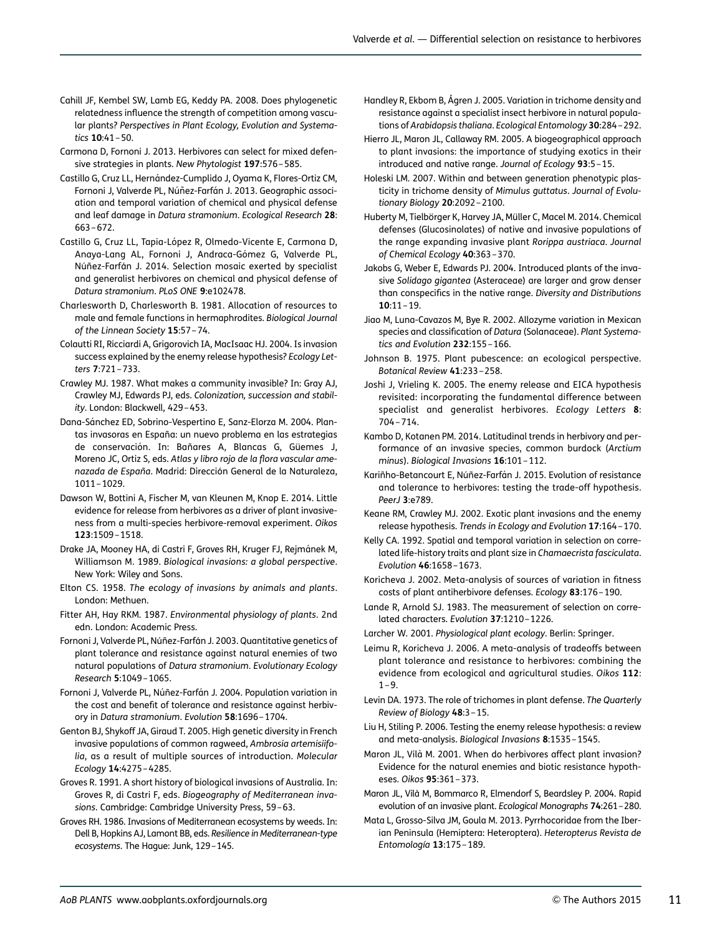- <span id="page-10-0"></span>Cahill JF, Kembel SW, Lamb EG, Keddy PA. 2008. Does phylogenetic relatedness influence the strength of competition among vascular plants? Perspectives in Plant Ecology, Evolution and Systematics 10:41–50.
- Carmona D, Fornoni J. 2013. Herbivores can select for mixed defensive strategies in plants. New Phytologist 197:576–585.
- Castillo G, Cruz LL, Hernández-Cumplido J, Oyama K, Flores-Ortiz CM, Fornoni J, Valverde PL, Núñez-Farfán J. 2013. Geographic association and temporal variation of chemical and physical defense and leaf damage in Datura stramonium. Ecological Research 28: 663–672.
- Castillo G, Cruz LL, Tapia-López R, Olmedo-Vicente E, Carmona D, Anaya-Lang AL, Fornoni J, Andraca-Gómez G, Valverde PL, Núñez-Farfán J. 2014. Selection mosaic exerted by specialist and generalist herbivores on chemical and physical defense of Datura stramonium. PLoS ONE 9:e102478.
- Charlesworth D, Charlesworth B. 1981. Allocation of resources to male and female functions in hermaphrodites. Biological Journal of the Linnean Society 15:57-74.
- Colautti RI, Ricciardi A, Grigorovich IA, MacIsaac HJ. 2004. Is invasion success explained by the enemy release hypothesis? Ecology Letters 7:721–733.
- Crawley MJ. 1987. What makes a community invasible? In: Gray AJ, Crawley MJ, Edwards PJ, eds. Colonization, succession and stability. London: Blackwell, 429–453.
- Dana-Sánchez ED, Sobrino-Vespertino E, Sanz-Elorza M. 2004. Plantas invasoras en España: un nuevo problema en las estrategias de conservación. In: Bañares A, Blancas G, Güemes J, Moreno JC, Ortiz S, eds. Atlas y libro rojo de la flora vascular amenazada de España. Madrid: Dirección General de la Naturaleza, 1011–1029.
- Dawson W, Bottini A, Fischer M, van Kleunen M, Knop E. 2014. Little evidence for release from herbivores as a driver of plant invasiveness from a multi-species herbivore-removal experiment. Oikos 123:1509–1518.
- Drake JA, Mooney HA, di Castri F, Groves RH, Kruger FJ, Rejmánek M, Williamson M. 1989. Biological invasions: a global perspective. New York: Wiley and Sons.
- Elton CS. 1958. The ecology of invasions by animals and plants. London: Methuen.
- Fitter AH, Hay RKM. 1987. Environmental physiology of plants. 2nd edn. London: Academic Press.
- Fornoni J, Valverde PL, Núñez-Farfán J. 2003. Quantitative genetics of plant tolerance and resistance against natural enemies of two natural populations of Datura stramonium. Evolutionary Ecology Research 5:1049–1065.
- Fornoni J, Valverde PL, Núñez-Farfán J. 2004. Population variation in the cost and benefit of tolerance and resistance against herbivory in Datura stramonium. Evolution 58:1696–1704.
- Genton BJ, Shykoff JA, Giraud T. 2005. High genetic diversity in French invasive populations of common ragweed, Ambrosia artemisiifolia, as a result of multiple sources of introduction. Molecular Ecology 14:4275–4285.
- Groves R. 1991. A short history of biological invasions of Australia. In: Groves R, di Castri F, eds. Biogeography of Mediterranean invasions. Cambridge: Cambridge University Press, 59–63.
- Groves RH. 1986. Invasions of Mediterranean ecosystems by weeds. In: Dell B, Hopkins AJ, Lamont BB, eds. Resilience in Mediterranean-type ecosystems. The Hague: Junk, 129–145.
- Handley R, Ekbom B, Ågren J. 2005. Variation in trichome density and resistance against a specialist insect herbivore in natural populations of Arabidopsis thaliana. Ecological Entomology 30:284–292.
- Hierro JL, Maron JL, Callaway RM. 2005. A biogeographical approach to plant invasions: the importance of studying exotics in their introduced and native range. Journal of Ecology 93:5–15.
- Holeski LM. 2007. Within and between generation phenotypic plasticity in trichome density of Mimulus guttatus. Journal of Evolutionary Biology 20:2092–2100.
- Huberty M, Tielbörger K, Harvey JA, Müller C, Macel M. 2014. Chemical defenses (Glucosinolates) of native and invasive populations of the range expanding invasive plant Rorippa austriaca. Journal of Chemical Ecology 40:363–370.
- Jakobs G, Weber E, Edwards PJ. 2004. Introduced plants of the invasive Solidago gigantea (Asteraceae) are larger and grow denser than conspecifics in the native range. Diversity and Distributions 10:11–19.
- Jiao M, Luna-Cavazos M, Bye R. 2002. Allozyme variation in Mexican species and classification of Datura (Solanaceae). Plant Systematics and Evolution 232:155–166.
- Johnson B. 1975. Plant pubescence: an ecological perspective. Botanical Review 41:233–258.
- Joshi J, Vrieling K. 2005. The enemy release and EICA hypothesis revisited: incorporating the fundamental difference between specialist and generalist herbivores. Ecology Letters 8: 704–714.
- Kambo D, Kotanen PM. 2014. Latitudinal trends in herbivory and performance of an invasive species, common burdock (Arctium minus). Biological Invasions 16:101–112.
- Kariñho-Betancourt E, Núñez-Farfán J. 2015. Evolution of resistance and tolerance to herbivores: testing the trade-off hypothesis. PeerJ 3:e789.
- Keane RM, Crawley MJ. 2002. Exotic plant invasions and the enemy release hypothesis. Trends in Ecology and Evolution 17:164–170.
- Kelly CA. 1992. Spatial and temporal variation in selection on correlated life-history traits and plant size in Chamaecrista fasciculata. Evolution 46:1658–1673.
- Koricheva J. 2002. Meta-analysis of sources of variation in fitness costs of plant antiherbivore defenses. Ecology 83:176–190.
- Lande R, Arnold SJ. 1983. The measurement of selection on correlated characters. Evolution 37:1210–1226.
- Larcher W. 2001. Physiological plant ecology. Berlin: Springer.
- Leimu R, Koricheva J. 2006. A meta-analysis of tradeoffs between plant tolerance and resistance to herbivores: combining the evidence from ecological and agricultural studies. Oikos 112:  $1 - 9.$
- Levin DA. 1973. The role of trichomes in plant defense. The Quarterly Review of Biology 48:3–15.
- Liu H, Stiling P. 2006. Testing the enemy release hypothesis: a review and meta-analysis. Biological Invasions 8:1535–1545.
- Maron JL, Vilà M. 2001. When do herbivores affect plant invasion? Evidence for the natural enemies and biotic resistance hypotheses. Oikos 95:361–373.
- Maron JL, Vilà M, Bommarco R, Elmendorf S, Beardsley P. 2004. Rapid evolution of an invasive plant. Ecological Monographs 74:261–280.
- Mata L, Grosso-Silva JM, Goula M. 2013. Pyrrhocoridae from the Iberian Peninsula (Hemiptera: Heteroptera). Heteropterus Revista de Entomología 13:175-189.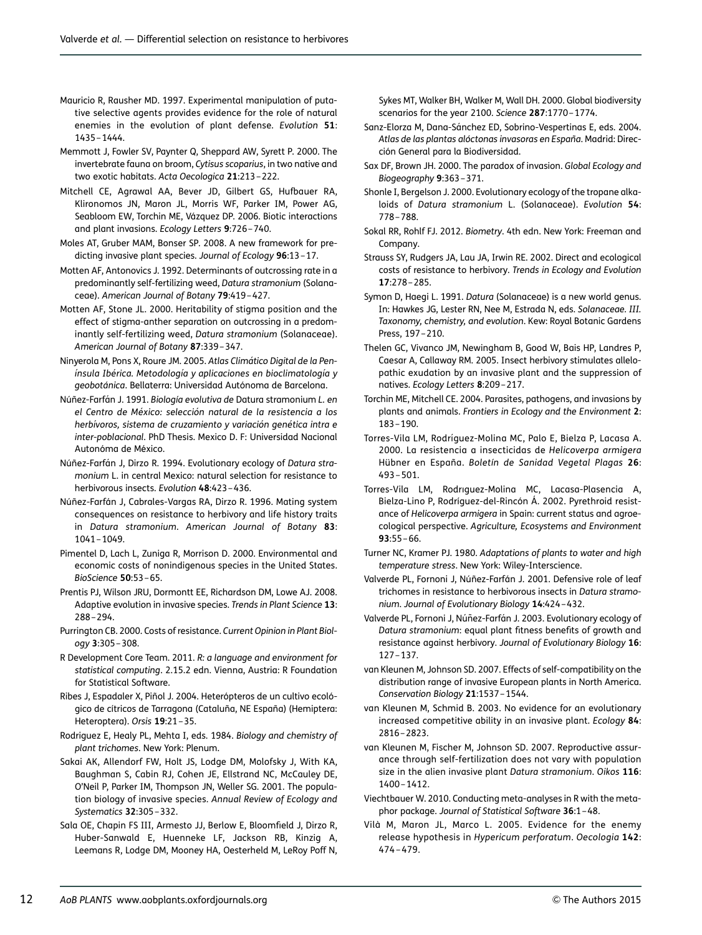- <span id="page-11-0"></span>Mauricio R, Rausher MD. 1997. Experimental manipulation of putative selective agents provides evidence for the role of natural enemies in the evolution of plant defense. Evolution 51: 1435–1444.
- Memmott J, Fowler SV, Paynter Q, Sheppard AW, Syrett P. 2000. The invertebrate fauna on broom, Cytisus scoparius, in two native and two exotic habitats. Acta Oecologica 21:213–222.
- Mitchell CE, Agrawal AA, Bever JD, Gilbert GS, Hufbauer RA, Klironomos JN, Maron JL, Morris WF, Parker IM, Power AG, Seabloom EW, Torchin ME, Vázquez DP. 2006. Biotic interactions and plant invasions. Ecology Letters 9:726–740.
- Moles AT, Gruber MAM, Bonser SP. 2008. A new framework for predicting invasive plant species. Journal of Ecology 96:13–17.
- Motten AF, Antonovics J. 1992. Determinants of outcrossing rate in a predominantly self-fertilizing weed, Datura stramonium (Solanaceae). American Journal of Botany 79:419–427.
- Motten AF, Stone JL. 2000. Heritability of stigma position and the effect of stigma-anther separation on outcrossing in a predominantly self-fertilizing weed, Datura stramonium (Solanaceae). American Journal of Botany 87:339–347.
- Ninyerola M, Pons X, Roure JM. 2005. Atlas Climático Digital de la Península Ibérica. Metodología y aplicaciones en bioclimatología y geobotánica. Bellaterra: Universidad Autónoma de Barcelona.
- Núñez-Farfán J. 1991. Biología evolutiva de Datura stramonium L. en el Centro de México: selección natural de la resistencia a los herbívoros, sistema de cruzamiento y variación genética intra e inter-poblacional. PhD Thesis. Mexico D. F: Universidad Nacional Autonóma de México.
- Núñez-Farfán J, Dirzo R. 1994. Evolutionary ecology of Datura stramonium L. in central Mexico: natural selection for resistance to herbivorous insects. Evolution 48:423–436.
- Núñez-Farfán J, Cabrales-Vargas RA, Dirzo R. 1996. Mating system consequences on resistance to herbivory and life history traits in Datura stramonium. American Journal of Botany 83: 1041–1049.
- Pimentel D, Lach L, Zuniga R, Morrison D. 2000. Environmental and economic costs of nonindigenous species in the United States. BioScience 50:53–65.
- Prentis PJ, Wilson JRU, Dormontt EE, Richardson DM, Lowe AJ. 2008. Adaptive evolution in invasive species. Trends in Plant Science 13: 288–294.
- Purrington CB. 2000. Costs of resistance. Current Opinion in Plant Biology 3:305–308.
- R Development Core Team. 2011. R: a language and environment for statistical computing. 2.15.2 edn. Vienna, Austria: R Foundation for Statistical Software.
- Ribes J, Espadaler X, Piñol J. 2004. Heterópteros de un cultivo ecológico de cítricos de Tarragona (Cataluña, NE España) (Hemiptera: Heteroptera). Orsis 19:21–35.
- Rodriguez E, Healy PL, Mehta I, eds. 1984. Biology and chemistry of plant trichomes. New York: Plenum.
- Sakai AK, Allendorf FW, Holt JS, Lodge DM, Molofsky J, With KA, Baughman S, Cabin RJ, Cohen JE, Ellstrand NC, McCauley DE, O'Neil P, Parker IM, Thompson JN, Weller SG. 2001. The population biology of invasive species. Annual Review of Ecology and Systematics 32:305–332.
- Sala OE, Chapin FS III, Armesto JJ, Berlow E, Bloomfield J, Dirzo R, Huber-Sanwald E, Huenneke LF, Jackson RB, Kinzig A, Leemans R, Lodge DM, Mooney HA, Oesterheld M, LeRoy Poff N,

Sykes MT, Walker BH, Walker M, Wall DH. 2000. Global biodiversity scenarios for the year 2100. Science 287:1770–1774.

- Sanz-Elorza M, Dana-Sánchez ED, Sobrino-Vespertinas E, eds. 2004. Atlas de las plantas alóctonas invasoras en España. Madrid: Dirección General para la Biodiversidad.
- Sax DF, Brown JH. 2000. The paradox of invasion. Global Ecology and Biogeography 9:363–371.
- Shonle I, Bergelson J. 2000. Evolutionary ecology of the tropane alkaloids of Datura stramonium L. (Solanaceae). Evolution 54: 778–788.
- Sokal RR, Rohlf FJ. 2012. Biometry. 4th edn. New York: Freeman and Company.
- Strauss SY, Rudgers JA, Lau JA, Irwin RE. 2002. Direct and ecological costs of resistance to herbivory. Trends in Ecology and Evolution 17:278–285.
- Symon D, Haegi L. 1991. Datura (Solanaceae) is a new world genus. In: Hawkes JG, Lester RN, Nee M, Estrada N, eds. Solanaceae. III. Taxonomy, chemistry, and evolution. Kew: Royal Botanic Gardens Press, 197–210.
- Thelen GC, Vivanco JM, Newingham B, Good W, Bais HP, Landres P, Caesar A, Callaway RM. 2005. Insect herbivory stimulates allelopathic exudation by an invasive plant and the suppression of natives. Ecology Letters 8:209–217.
- Torchin ME, Mitchell CE. 2004. Parasites, pathogens, and invasions by plants and animals. Frontiers in Ecology and the Environment 2: 183–190.
- Torres-Vila LM, Rodríguez-Molina MC, Palo E, Bielza P, Lacasa A. 2000. La resistencia a insecticidas de Helicoverpa armigera Hübner en España. Boletín de Sanidad Vegetal Plagas 26: 493–501.
- Torres-Vila LM, Rodrıguez-Molina MC, Lacasa-Plasencia A, Bielza-Lino P, Rodríguez-del-Rincón Á. 2002. Pyrethroid resistance of Helicoverpa armigera in Spain: current status and agroecological perspective. Agriculture, Ecosystems and Environment 93:55–66.
- Turner NC, Kramer PJ. 1980. Adaptations of plants to water and high temperature stress. New York: Wiley-Interscience.
- Valverde PL, Fornoni J, Núñez-Farfán J. 2001. Defensive role of leaf trichomes in resistance to herbivorous insects in Datura stramonium. Journal of Evolutionary Biology 14:424–432.
- Valverde PL, Fornoni J, Núñez-Farfán J. 2003. Evolutionary ecology of Datura stramonium: equal plant fitness benefits of growth and resistance against herbivory. Journal of Evolutionary Biology 16: 127–137.
- van Kleunen M, Johnson SD. 2007. Effects of self-compatibility on the distribution range of invasive European plants in North America. Conservation Biology 21:1537–1544.
- van Kleunen M, Schmid B. 2003. No evidence for an evolutionary increased competitive ability in an invasive plant. Ecology 84: 2816–2823.
- van Kleunen M, Fischer M, Johnson SD. 2007. Reproductive assurance through self-fertilization does not vary with population size in the alien invasive plant Datura stramonium. Oikos 116: 1400–1412.
- Viechtbauer W. 2010. Conducting meta-analyses in R with the metaphor package. Journal of Statistical Software 36:1–48.
- Vilà M, Maron JL, Marco L. 2005. Evidence for the enemy release hypothesis in Hypericum perforatum. Oecologia 142: 474–479.